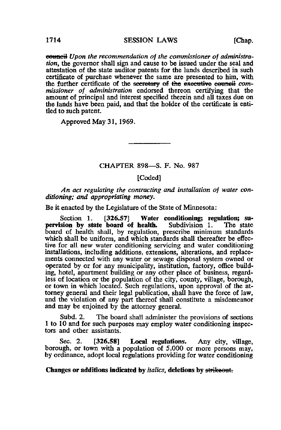**eouncil** Upon the recommendation of the commissioner of administration, the governor shall sign and cause to be issued under the seal and attestation of the state auditor patents for the lands described in such certificate of purchase whenever the same are presented to him, with the further certificate of the secretary of the executive eeuneil commissioner of administration endorsed thereon certifying that the amount of principal and interest specified therein and all taxes due on the lands have been paid, and that the holder of the certificate is entitled to such patent.

Approved May 31, 1969.

### CHAPTER 898—S. F. No. 987

#### [Coded]

An act regulating the contracting and installation of water conditioning; and appropriating money.

Be it enacted by the Legislature of the State of Minnesota:

Section 1. [326.57] Water conditioning; regulation; su-<br>sion by state board of health. Subdivision 1. The state pervision by state board of health. board of health shall, by regulation, prescribe minimum standards which shall be uniform, and which standards shall thereafter be effective for all new water conditioning servicing and water conditioning installations, including additions, extensions, alterations, and replacements connected with any water or sewage disposal system owned or operated by or for any municipality, institution, factory, office building, hotel, apartment building or any other place of business, regardless of location or the population of the city, county, village, borough, or town in which located. Such regulations, upon approval of the attorney general and their legal publication, shall have the force of law, and the violation of any part thereof shall constitute a misdemeanor and may be enjoined by the attorney general.

Subd. 2. The board shall administer the provisions of sections 1 to 10 and for such purposes may employ water conditioning inspectors and other assistants.

Sec. 2. [326.58] Local regulations. Any city, village, borough, or town with a population of  $5,000$  or more persons may, by ordinance, adopt local regulations providing for water conditioning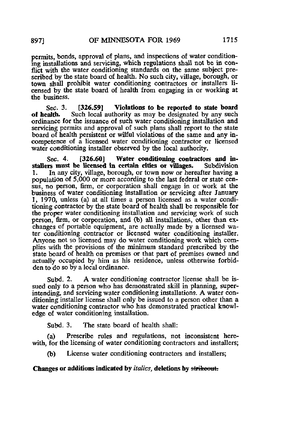permits, bonds, approval of plans, and inspections of water conditioning installations and servicing, which regulations shall not be in conflict with the water conditioning standards on the same subject prescribed by the state board of health. No such city, village, borough, or town shall prohibit water conditioning contractors or installers licensed by the state board of health from engaging in or working at the business.

Sec. 3. [326.59] Violations to be reported to state board<br>of health. Such local authority as may be designated by any such Such local authority as may be designated by any such ordinance for the issuance of such water conditioning installation and servicing permits and approval of such plans shall report to the state board of health persistent or wilful violations of the same and any incompetence of a licensed water conditioning contractor or licensed water conditioning installer observed by the local authority.

Sec. 4. [326.60] Water conditioning contractors and in-<br> **In summary of the sectual section cities or villages.** Subdivision stallers must be licensed in certain cities or villages.<br>1. In any city, village, borough, or town now or here In any city, village, borough, or town now or hereafter having a population of 5,000 or more according to the last federal or state census, no person, firm, or corporation shall engage in or work at the business of water conditioning installation or servicing after January 1, 1970, unless (a) at all times a person licensed as a water conditioning contractor by the state board of health shall be responsible for the proper water conditioning installation and servicing work of such person, firm, or corporation, and (b) all installations, other than exchanges of portable equipment, are actually made by a licensed water conditioning contractor or licensed water conditioning installer. Anyone not so licensed may do water conditioning work which complies with the provisions of the minimum standard prescribed by the state board of health on premises or that part of premises owned and actually occupied by him as his residence, unless otherwise forbidden to do so by a local ordinance.

Subd. 2. A water conditioning contractor license shall be issued only to a person who has demonstrated skill in planning, superintending, and servicing water conditioning installations. A water conditioning installer license shall only be issued to a person other than a water conditioning contractor who has demonstrated practical knowledge of water conditioning installation.

Subd. 3. The state board of health shall:

(a) Prescribe rules and regulations, not inconsistent herewith, for the licensing of water conditioning contractors and installers;

(b) License water conditioning contractors and installers;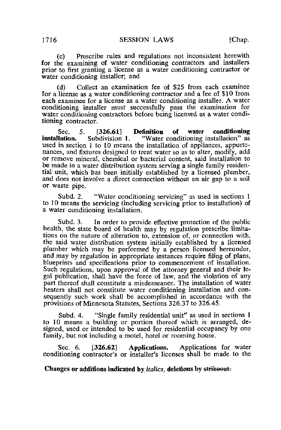(c) Prescribe rules and regulations not inconsistent herewith for the examining of water conditioning contractors and installers prior to first granting a license as a water conditioning contractor or water conditioning installer; and

(d) Collect an examination fee of \$25 from each examinee for a license as a water conditioning contractor and a fee of \$10 from each examinee for a license as a water conditioning installer. A water conditioning installer must successfully pass the examination for water conditioning contractors before being licensed as a water conditioning contractor.

Sec. 5. [326.61] Definition of water conditioning installation. Subdivision 1. "Water conditioning installation" as used in section 1 to 10 means the installation of appliances, appurtenances, and fixtures designed to treat water so as to alter, modify, add or remove mineral, chemical or bacterial content, said installation to be made in a water distribution system serving a single family residential unit, which has been initially established by a licensed plumber, and does not involve a direct connection without an air gap to a soil or waste pipe.

Subd. 2. "Water conditioning servicing" as used in sections 1 to 10 means the servicing (including servicing prior to installation) of a water conditioning installation.

Subd. 3. In order to provide effective protection of the public health, the state board of health may by regulation prescribe limitations on the nature of alteration to, extension of, or connection with, the said water distribution system initially established by a licensed plumber which may be performed by a person licensed hereunder, and may by regulation in appropriate instances require filing of plans, blueprints and specifications prior to commencement of installation. Such regulations, upon approval of the attorney general and their legal publication, shall have the force of law, and the violation of any part thereof shall constitute a misdemeanor. The installation of water heaters shall not constitute water conditioning installation and consequently such work shall be accomplished in accordance with the provisions of Minnesota Statutes, Sections 326.37 to 326.45.

Subd. 4. "Single family residential unit" as used in sections 1 to 10 means a building or portion thereof which is arranged, designed, used or intended to be used for residential occupancy by one family, but not including a motel, hotel or rooming house.

Sec. 6. [326.62] Applications. Applications for water conditioning contractor's or installer's licenses shall be made to the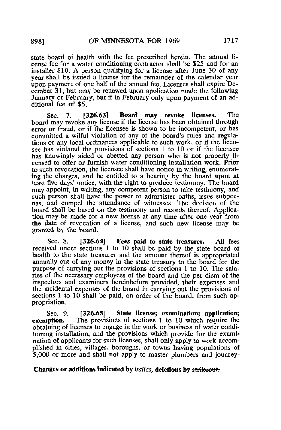state board of health with the fee prescribed herein. The annual license fee for a water conditioning contractor shall be \$25 and for an installer \$10. A person qualifying for a license after June 30 of any year shall be issued a license for the remainder of the calendar year upon payment of one half of the annual fee. Licenses shall expire December 31, but may be renewed upon application made the following January or February, but if in February only upon payment of an additional fee of \$5,

Sec. 7. [326.63] Board may revoke licenses. The board may revoke any license if the license has been obtained through error or fraud, or if the licensee is shown to be incompetent, or has committed a wilful violation of any of the board's rules and regulations or any local ordinances applicable to such work, or if the licensee has violated the provisions of sections 1 to 10 or if the licensee has knowingly aided or abetted any person who is not properly licensed to offer or furnish water conditioning installation work. Prior to such revocation, the licensee shall have notice in writing, enumerating the charges, and be entitled to a hearing by the board upon at least five days' notice, with the right to produce testimony. The board may appoint, in writing, any competent person to take testimony, and such person shall have the power to administer oaths, issue subpoenas, and compel the attendance of witnesses. The decision of the board shall be based on the testimony and records thereof. Application may be made for a new license at any time after one year from the date of revocation of a license, and such new license may be granted by the board.

Sec. 8. [326.64] Fees paid to state treasurer. All fees received under sections 1 to 10 shall be paid by the state board of health to the state treasurer and the amount thereof is appropriated annually out of any money in the state treasury to the board for the purpose of carrying out the provisions of sections 1 to 10. The salaries of the necessary employees of the board and the per diem of the inspectors and examiners hereinbefore provided, their expenses and the incidental expenses of the board in carrying out the provisions of sections 1 to 10 shall be paid, on order of the board, from such appropriation.

Sec. 9. [326.65] State license; examination; application; exemption. The provisions of sections 1 to 10 which require the The provisions of sections 1 to 10 which require the obtaining of licenses to engage in the work or business of water conditioning installation, and the provisions which provide for the examination of applicants for such licenses, shall only apply to work accomplished in cities, villages, boroughs, or towns having populations of 5,000 or more and shall not apply to master plumbers and journey-